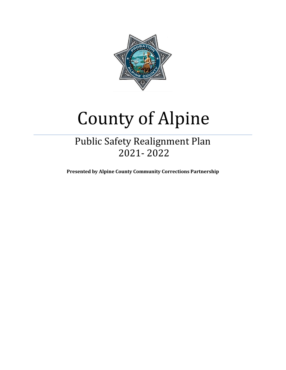

# County of Alpine

## Public Safety Realignment Plan 2021- 2022

**Presented by Alpine County Community Corrections Partnership**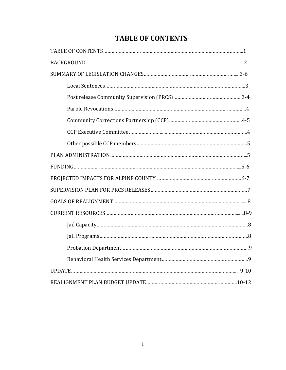### **TABLE OF CONTENTS**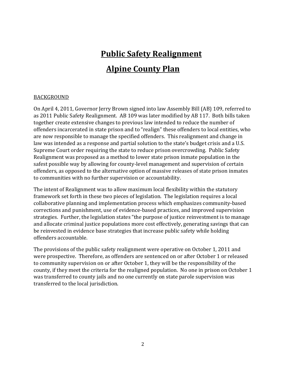## **Public Safety Realignment Alpine County Plan**

#### BACKGROUND

On April 4, 2011, Governor Jerry Brown signed into law Assembly Bill (AB) 109, referred to as 2011 Public Safety Realignment. AB 109 was later modified by AB 117. Both bills taken together create extensive changes to previous law intended to reduce the number of offenders incarcerated in state prison and to "realign" these offenders to local entities, who are now responsible to manage the specified offenders. This realignment and change in law was intended as a response and partial solution to the state's budget crisis and a U.S. Supreme Court order requiring the state to reduce prison overcrowding. Public Safety Realignment was proposed as a method to lower state prison inmate population in the safest possible way by allowing for county-level management and supervision of certain offenders, as opposed to the alternative option of massive releases of state prison inmates to communities with no further supervision or accountability.

The intent of Realignment was to allow maximum local flexibility within the statutory framework set forth in these two pieces of legislation. The legislation requires a local collaborative planning and implementation process which emphasizes community-based corrections and punishment, use of evidence-based practices, and improved supervision strategies. Further, the legislation states "the purpose of justice reinvestment is to manage and allocate criminal justice populations more cost effectively, generating savings that can be reinvested in evidence base strategies that increase public safety while holding offenders accountable.

The provisions of the public safety realignment were operative on October 1, 2011 and were prospective. Therefore, as offenders are sentenced on or after October 1 or released to community supervision on or after October 1, they will be the responsibility of the county, if they meet the criteria for the realigned population. No one in prison on October 1 was transferred to county jails and no one currently on state parole supervision was transferred to the local jurisdiction.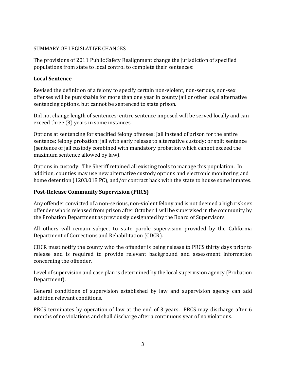#### SUMMARY OF LEGISLATIVE CHANGES

The provisions of 2011 Public Safety Realignment change the jurisdiction of specified populations from state to local control to complete their sentences:

#### **Local Sentence**

Revised the definition of a felony to specify certain non-violent, non-serious, non-sex offenses will be punishable for more than one year in county jail or other local alternative sentencing options, but cannot be sentenced to state prison.

Did not change length of sentences; entire sentence imposed will be served locally and can exceed three (3) years in some instances.

Options at sentencing for specified felony offenses: Jail instead of prison for the entire sentence; felony probation; jail with early release to alternative custody; or split sentence (sentence of jail custody combined with mandatory probation which cannot exceed the maximum sentence allowed by law).

Options in custody: The Sheriff retained all existing tools to manage this population. In addition, counties may use new alternative custody options and electronic monitoring and home detention (1203.018 PC), and/or contract back with the state to house some inmates.

#### **Post-Release Community Supervision (PRCS)**

Any offender convicted of a non-serious, non-violent felony and is not deemed a high risk sex offender who is released from prison after October 1 will be supervised in the community by the Probation Department as previously designated by the Board of Supervisors.

All others will remain subject to state parole supervision provided by the California Department of Corrections and Rehabilitation (CDCR).

CDCR must notify the county who the offender is being release to PRCS thirty days prior to release and is required to provide relevant background and assessment information concerning the offender.

Level of supervision and case plan is determined by the local supervision agency (Probation Department).

General conditions of supervision established by law and supervision agency can add addition relevant conditions.

PRCS terminates by operation of law at the end of 3 years. PRCS may discharge after 6 months of no violations and shall discharge after a continuous year of no violations.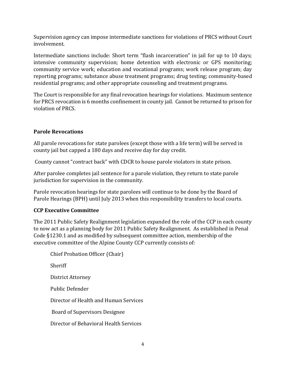Supervision agency can impose intermediate sanctions for violations of PRCS without Court involvement.

Intermediate sanctions include: Short term "flash incarceration" in jail for up to 10 days; intensive community supervision; home detention with electronic or GPS monitoring; community service work; education and vocational programs; work release program; day reporting programs; substance abuse treatment programs; drug testing; community-based residential programs; and other appropriate counseling and treatment programs.

The Court is responsible for any final revocation hearings for violations. Maximum sentence for PRCS revocation is 6 months confinement in county jail. Cannot be returned to prison for violation of PRCS.

#### **Parole Revocations**

All parole revocations for state parolees (except those with a life term) will be served in county jail but capped a 180 days and receive day for day credit.

County cannot "contract back" with CDCR to house parole violators in state prison.

After parolee completes jail sentence for a parole violation, they return to state parole jurisdiction for supervision in the community.

Parole revocation hearings for state parolees will continue to be done by the Board of Parole Hearings (BPH) until July 2013 when this responsibility transfers to local courts.

#### **CCP Executive Committee**

The 2011 Public Safety Realignment legislation expanded the role of the CCP in each county to now act as a planning body for 2011 Public Safety Realignment. As established in Penal Code §1230.1 and as modified by subsequent committee action, membership of the executive committee of the Alpine County CCP currently consists of:

Chief Probation Officer (Chair) Sheriff District Attorney Public Defender Director of Health and Human Services Board of Supervisors Designee Director of Behavioral Health Services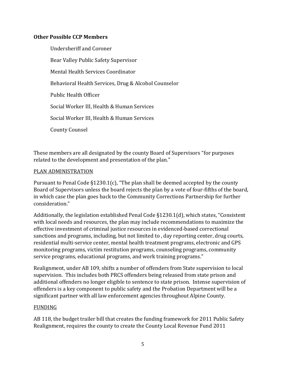#### **Other Possible CCP Members**

Undersheriff and Coroner Bear Valley Public Safety Supervisor Mental Health Services Coordinator Behavioral Health Services, Drug & Alcohol Counselor Public Health Officer Social Worker III, Health & Human Services Social Worker III, Health & Human Services County Counsel

These members are all designated by the county Board of Supervisors "for purposes related to the development and presentation of the plan."

#### PLAN ADMINISTRATION

Pursuant to Penal Code §1230.1(c), "The plan shall be deemed accepted by the county Board of Supervisors unless the board rejects the plan by a vote of four-fifths of the board, in which case the plan goes back to the Community Corrections Partnership for further consideration."

Additionally, the legislation established Penal Code §1230.1(d), which states, "Consistent with local needs and resources, the plan may include recommendations to maximize the effective investment of criminal justice resources in evidenced-based correctional sanctions and programs, including, but not limited to , day reporting center, drug courts, residential multi-service center, mental health treatment programs, electronic and GPS monitoring programs, victim restitution programs, counseling programs, community service programs, educational programs, and work training programs."

Realignment, under AB 109, shifts a number of offenders from State supervision to local supervision. This includes both PRCS offenders being released from state prison and additional offenders no longer eligible to sentence to state prison. Intense supervision of offenders is a key component to public safety and the Probation Department will be a significant partner with all law enforcement agencies throughout Alpine County.

#### FUNDING

AB 118, the budget trailer bill that creates the funding framework for 2011 Public Safety Realignment, requires the county to create the County Local Revenue Fund 2011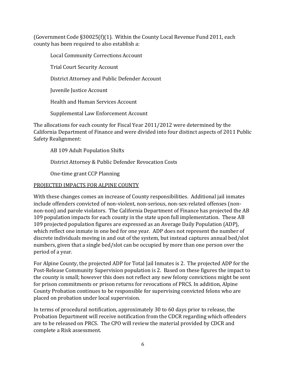(Government Code §30025(f)(1). Within the County Local Revenue Fund 2011, each county has been required to also establish a:

Local Community Corrections Account

Trial Court Security Account

District Attorney and Public Defender Account

Juvenile Justice Account

Health and Human Services Account

Supplemental Law Enforcement Account

The allocations for each county for Fiscal Year 2011/2012 were determined by the California Department of Finance and were divided into four distinct aspects of 2011 Public Safety Realignment:

AB 109 Adult Population Shifts

District Attorney & Public Defender Revocation Costs

One-time grant CCP Planning

#### PROJECTED IMPACTS FOR ALPINE COUNTY

With these changes comes an increase of County responsibilities. Additional jail inmates include offenders convicted of non-violent, non-serious, non-sex-related offenses (nonnon-non) and parole violators. The California Department of Finance has projected the AB 109 population impacts for each county in the state upon full implementation. These AB 109 projected population figures are expressed as an Average Daily Population (ADP), which reflect one inmate in one bed for one year. ADP does not represent the number of discrete individuals moving in and out of the system, but instead captures annual bed/slot numbers, given that a single bed/slot can be occupied by more than one person over the period of a year.

For Alpine County, the projected ADP for Total Jail Inmates is 2. The projected ADP for the Post-Release Community Supervision population is 2. Based on these figures the impact to the county is small; however this does not reflect any new felony convictions might be sent for prison commitments or prison returns for revocations of PRCS. In addition, Alpine County Probation continues to be responsible for supervising convicted felons who are placed on probation under local supervision.

In terms of procedural notification, approximately 30 to 60 days prior to release, the Probation Department will receive notification from the CDCR regarding which offenders are to be released on PRCS. The CPO will review the material provided by CDCR and complete a Risk assessment.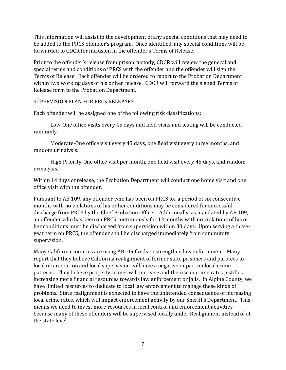This information will assist in the development of any special conditions that may need to be added to the PRCS offender's program. Once identified, any special conditions will be forwarded to CDCR for inclusion in the offender's Terms of Release.

Prior to the offender's release from prison custody, CDCR will review the general and special terms and conditions of PRCS with the offender and the offender will sign the Terms of Release. Each offender will be ordered to report to the Probation Department within two working days of his or her release. CDCR will forward the signed Terms of Release form to the Probation Department.

#### SUPERVISION PLAN FOR PRCS RELEASES

Each offender will be assigned one of the following risk classifications:

Low-One office visits every 45 days and field visits and testing will be conducted randomly.

Moderate-One office visit every 45 days, one field visit every three months, and random urinalysis.

High Priority-One office visit per month, one field visit every 45 days, and random urinalysis.

Within 14 days of release, the Probation Department will conduct one home visit and one office visit with the offender.

Pursuant to AB 109, any offender who has been on PRCS for a period of six consecutive months with no violations of his or her conditions may be considered for successful discharge from PRCS by the Chief Probation Officer. Additionally, as mandated by AB 109, an offender who has been on PRCS continuously for 12 months with no violations of his or her conditions must be discharged from supervision within 30 days. Upon serving a threeyear term on PRCS, the offender shall be discharged immediately from community supervision.

Many California counties are using AB109 funds to strengthen law enforcement. Many report that they believe California realignment of former state prisoners and parolees to local incarceration and local supervision will have a negative impact on local crime patterns. They believe property crimes will increase and the rise in crime rates justifies increasing more financial resources towards law enforcement or jails. In Alpine County, we have limited resources to dedicate to local law enforcement to manage these kinds of problems. State realignment is expected to have the unintended consequence of increasing local crime rates, which will impact enforcement activity by our Sheriff's Department. This means we need to invest more resources in local control and enforcement activities because many of these offenders will be supervised locally under Realignment instead of at the state level.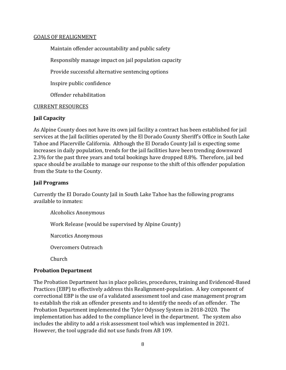#### GOALS OF REALIGNMENT

Maintain offender accountability and public safety

Responsibly manage impact on jail population capacity

Provide successful alternative sentencing options

Inspire public confidence

Offender rehabilitation

#### CURRENT RESOURCES

#### **Jail Capacity**

As Alpine County does not have its own jail facility a contract has been established for jail services at the Jail facilities operated by the El Dorado County Sheriff's Office in South Lake Tahoe and Placerville California. Although the El Dorado County Jail is expecting some increases in daily population, trends for the jail facilities have been trending downward 2.3% for the past three years and total bookings have dropped 8.8%. Therefore, jail bed space should be available to manage our response to the shift of this offender population from the State to the County.

#### **Jail Programs**

Currently the El Dorado County Jail in South Lake Tahoe has the following programs available to inmates:

Alcoholics Anonymous

Work Release (would be supervised by Alpine County)

Narcotics Anonymous

Overcomers Outreach

Church

#### **Probation Department**

The Probation Department has in place policies, procedures, training and Evidenced-Based Practices (EBP) to effectively address this Realignment-population. A key component of correctional EBP is the use of a validated assessment tool and case management program to establish the risk an offender presents and to identify the needs of an offender. The Probation Department implemented the Tyler Odyssey System in 2018-2020. The implementation has added to the compliance level in the department. The system also includes the ability to add a risk assessment tool which was implemented in 2021. However, the tool upgrade did not use funds from AB 109.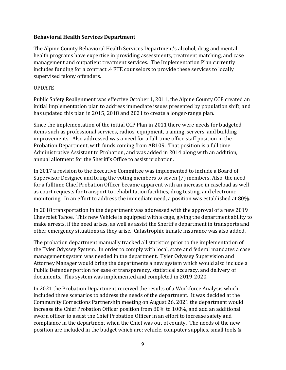#### **Behavioral Health Services Department**

The Alpine County Behavioral Health Services Department's alcohol, drug and mental health programs have expertise in providing assessments, treatment matching, and case management and outpatient treatment services. The Implementation Plan currently includes funding for a contract .4 FTE counselors to provide these services to locally supervised felony offenders.

#### UPDATE

Public Safety Realignment was effective October 1, 2011, the Alpine County CCP created an initial implementation plan to address immediate issues presented by population shift, and has updated this plan in 2015, 2018 and 2021 to create a longer-range plan.

Since the implementation of the initial CCP Plan in 2011 there were needs for budgeted items such as professional services, radios, equipment, training, servers, and building improvements. Also addressed was a need for a full-time office staff position in the Probation Department, with funds coming from AB109. That position is a full time Administrative Assistant to Probation, and was added in 2014 along with an addition, annual allotment for the Sheriff's Office to assist probation.

In 2017 a revision to the Executive Committee was implemented to include a Board of Supervisor Designee and bring the voting members to seven (7) members. Also, the need for a fulltime Chief Probation Officer became apparent with an increase in caseload as well as court requests for transport to rehabilitation facilities, drug testing, and electronic monitoring. In an effort to address the immediate need, a position was established at 80%.

In 2018 transportation in the department was addressed with the approval of a new 2019 Chevrolet Tahoe. This new Vehicle is equipped with a cage, giving the department ability to make arrests, if the need arises, as well as assist the Sheriff's department in transports and other emergency situations as they arise. Catastrophic inmate insurance was also added.

The probation department manually tracked all statistics prior to the implementation of the Tyler Odyssey System. In order to comply with local, state and federal mandates a case management system was needed in the department. Tyler Odyssey Supervision and Attorney Manager would bring the departments a new system which would also include a Public Defender portion for ease of transparency, statistical accuracy, and delivery of documents. This system was implemented and completed in 2019-2020.

In 2021 the Probation Department received the results of a Workforce Analysis which included three scenarios to address the needs of the department. It was decided at the Community Corrections Partnership meeting on August 26, 2021 the department would increase the Chief Probation Officer position from 80% to 100%, and add an additional sworn officer to assist the Chief Probation Officer in an effort to increase safety and compliance in the department when the Chief was out of county. The needs of the new position are included in the budget which are; vehicle, computer supplies, small tools &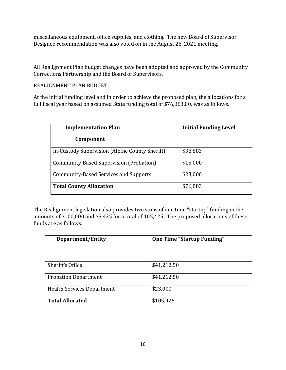miscellaneous equipment, office supplies, and clothing. The new Board of Supervisor Designee recommendation was also voted on in the August 26, 2021 meeting.

All Realignment Plan budget changes have been adopted and approved by the Community Corrections Partnership and the Board of Supervisors.

#### REALIGNMENT PLAN BUDGET

At the initial funding level and in order to achieve the proposed plan, the allocations for a full fiscal year based on assumed State funding total of \$76,883.00, was as follows.

| <b>Implementation Plan</b>                     | <b>Initial Funding Level</b> |
|------------------------------------------------|------------------------------|
| Component                                      |                              |
| In-Custody Supervision (Alpine County Sheriff) | \$38,883                     |
| Community-Based Supervision (Probation)        | \$15,000                     |
| <b>Community-Based Services and Supports</b>   | \$23,000                     |
| <b>Total County Allocation</b>                 | \$76,883                     |

The Realignment legislation also provides two sums of one time "startup" funding in the amounts of \$100,000 and \$5,425 for a total of 105,425. The proposed allocations of these funds are as follows.

| Department/Entity                 | <b>One Time "Startup Funding"</b> |
|-----------------------------------|-----------------------------------|
|                                   |                                   |
| Sheriff's Office                  | \$41,212.50                       |
| <b>Probation Department</b>       | \$41,212.50                       |
| <b>Health Services Department</b> | \$23,000                          |
| <b>Total Allocated</b>            | \$105,425                         |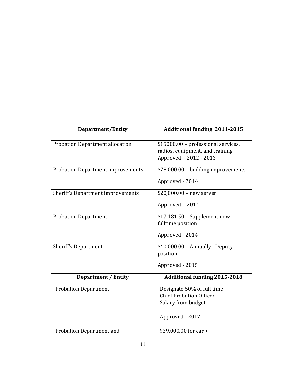| <b>Department/Entity</b>                 | <b>Additional funding 2011-2015</b>                                                                    |
|------------------------------------------|--------------------------------------------------------------------------------------------------------|
| <b>Probation Department allocation</b>   | \$15000.00 - professional services,<br>radios, equipment, and training -<br>Approved - 2012 - 2013     |
| <b>Probation Department improvements</b> | \$78,000.00 - building improvements<br>Approved - 2014                                                 |
| Sheriff's Department improvements        | $$20,000.00 - new server$<br>Approved - 2014                                                           |
| <b>Probation Department</b>              | $$17,181.50$ – Supplement new<br>fulltime position<br>Approved - 2014                                  |
| Sheriff's Department                     | \$40,000.00 - Annually - Deputy<br>position<br>Approved - 2015                                         |
| <b>Department / Entity</b>               | <b>Additional funding 2015-2018</b>                                                                    |
| <b>Probation Department</b>              | Designate 50% of full time<br><b>Chief Probation Officer</b><br>Salary from budget.<br>Approved - 2017 |
| <b>Probation Department and</b>          | \$39,000.00 for car +                                                                                  |